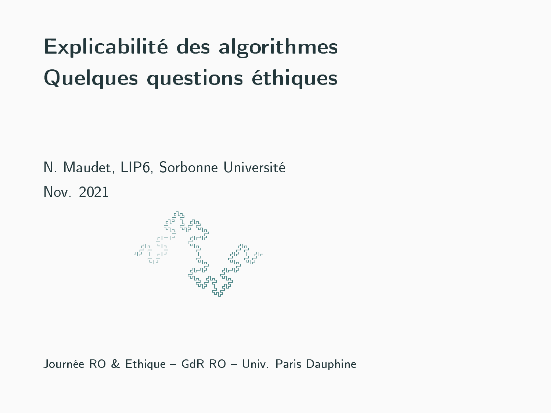# Explicabilité des algorithmes Quelques questions éthiques

N. Maudet, LIP6, Sorbonne Université Nov. 2021



Journée RO & Ethique - GdR RO - Univ. Paris Dauphine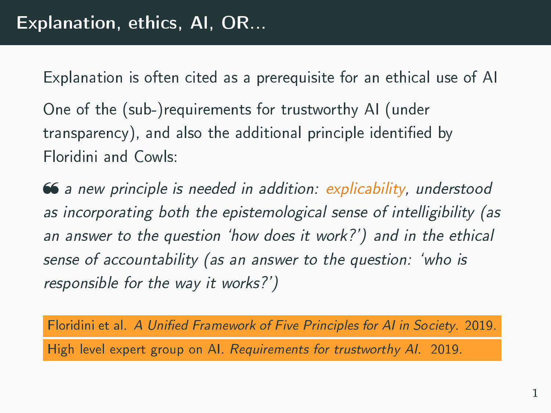Explanation is often cited as a prerequisite for an ethical use of AI

One of the (sub-)requirements for trustworthy AI (under transparency), and also the additional principle identified by Floridini and Cowls:

 $\bullet$  a new principle is needed in addition: explicability, understood as incorporating both the epistemological sense of intelligibility (as an answer to the question `how does it work?') and in the ethical sense of accountability (as an answer to the question: `who is responsible for the way it works?')

Floridini et al. A Unified Framework of Five Principles for AI in Society. 2019. High level expert group on AI. Requirements for trustworthy AI. 2019.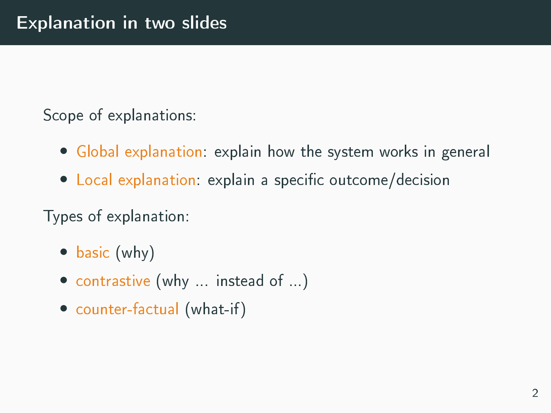Scope of explanations:

- Global explanation: explain how the system works in general
- Local explanation: explain a specific outcome/decision

Types of explanation:

- basic (why)
- contrastive (why ... instead of ...)
- counter-factual (what-if)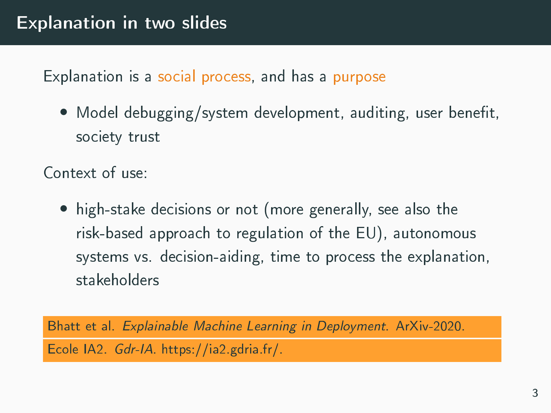Explanation is a social process, and has a purpose

• Model debugging/system development, auditing, user benefit, society trust

Context of use:

• high-stake decisions or not (more generally, see also the risk-based approach to regulation of the EU), autonomous systems vs. decision-aiding, time to process the explanation, stakeholders

Bhatt et al. Explainable Machine Learning in Deployment. ArXiv-2020. Ecole IA2. Gdr-IA. https://ia2.gdria.fr/.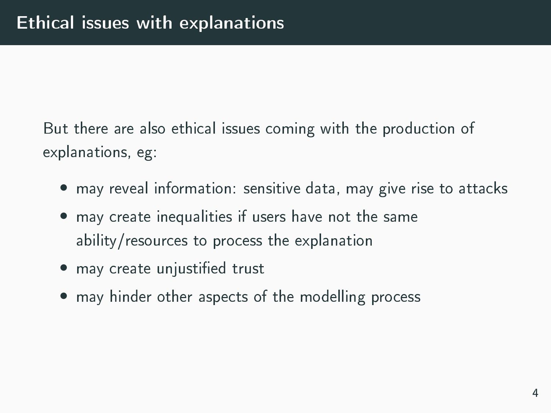But there are also ethical issues coming with the production of explanations, eg:

- may reveal information: sensitive data, may give rise to attacks
- may create inequalities if users have not the same ability/resources to process the explanation
- may create unjustified trust
- may hinder other aspects of the modelling process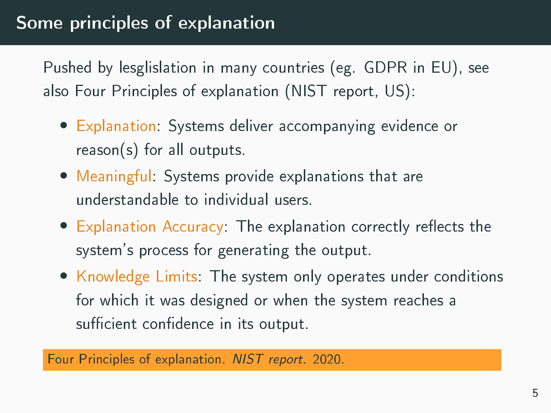Pushed by lesglislation in many countries (eg. GDPR in EU), see also Four Principles of explanation (NIST report, US):

- Explanation: Systems deliver accompanying evidence or reason(s) for all outputs.
- Meaningful: Systems provide explanations that are understandable to individual users.
- $\bullet$  Explanation Accuracy: The explanation correctly reflects the system's process for generating the output.
- Knowledge Limits: The system only operates under conditions for which it was designed or when the system reaches a sufficient confidence in its output.

Four Principles of explanation. NIST report. 2020.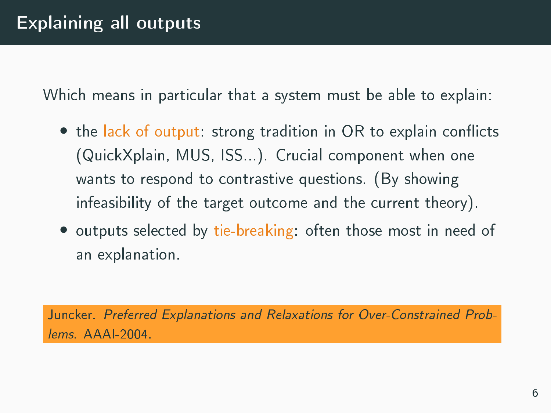Which means in particular that a system must be able to explain:

- the lack of output: strong tradition in OR to explain conflicts (QuickXplain, MUS, ISS...). Crucial component when one wants to respond to contrastive questions. (By showing infeasibility of the target outcome and the current theory).
- outputs selected by tie-breaking: often those most in need of an explanation.

Juncker. Preferred Explanations and Relaxations for Over-Constrained Problems. AAAI-2004.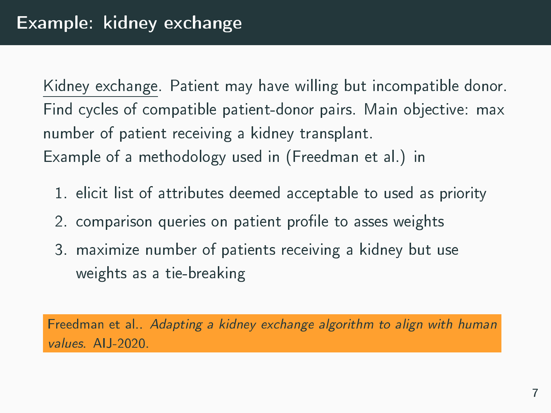Kidney exchange. Patient may have willing but incompatible donor. Find cycles of compatible patient-donor pairs. Main objective: max number of patient receiving a kidney transplant. Example of a methodology used in (Freedman et al.) in

- 1. elicit list of attributes deemed acceptable to used as priority
- 2. comparison queries on patient profile to asses weights
- 3. maximize number of patients receiving a kidney but use weights as a tie-breaking

Freedman et al.. Adapting a kidney exchange algorithm to align with human values. AIJ-2020.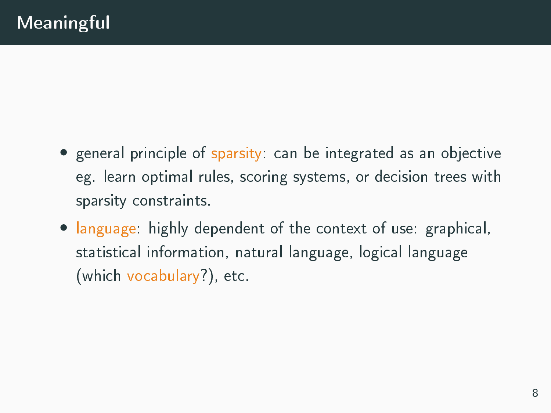- general principle of sparsity: can be integrated as an objective eg. learn optimal rules, scoring systems, or decision trees with sparsity constraints.
- language: highly dependent of the context of use: graphical, statistical information, natural language, logical language (which vocabulary?), etc.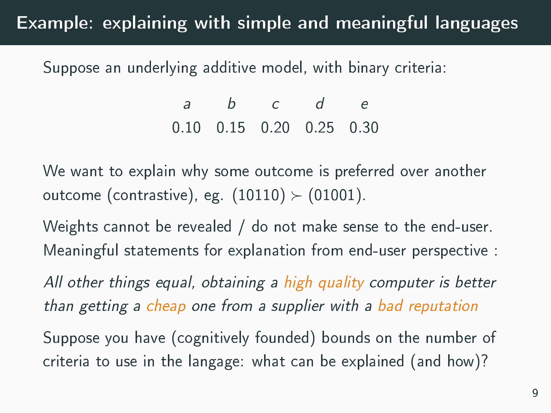# Example: explaining with simple and meaningful languages

Suppose an underlying additive model, with binary criteria:

a b c d e 0.10 0.15 0.20 0.25 0.30

We want to explain why some outcome is preferred over another outcome (contrastive), eg.  $(10110) \succ (01001)$ .

Weights cannot be revealed / do not make sense to the end-user. Meaningful statements for explanation from end-user perspective :

All other things equal, obtaining a high quality computer is better than getting a cheap one from a supplier with a bad reputation

Suppose you have (cognitively founded) bounds on the number of criteria to use in the langage: what can be explained (and how)?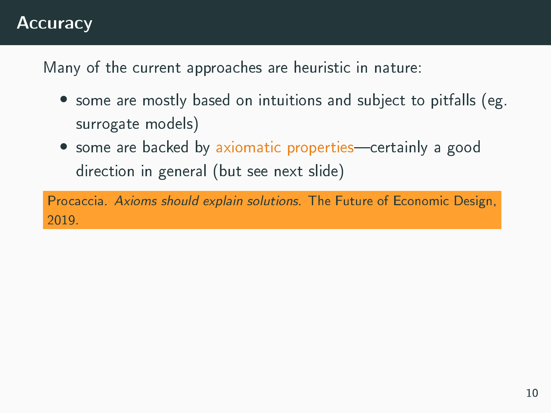## **Accuracy**

Many of the current approaches are heuristic in nature:

- some are mostly based on intuitions and subject to pitfalls (eg. surrogate models)
- some are backed by axiomatic properties—certainly a good direction in general (but see next slide)

Procaccia. Axioms should explain solutions. The Future of Economic Design, 2019.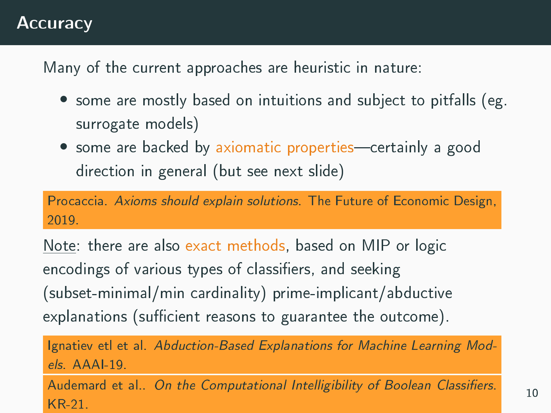#### **Accuracy**

Many of the current approaches are heuristic in nature:

- some are mostly based on intuitions and subject to pitfalls (eg. surrogate models)
- some are backed by axiomatic properties—certainly a good direction in general (but see next slide)

Procaccia. Axioms should explain solutions. The Future of Economic Design, 2019.

Note: there are also exact methods, based on MIP or logic encodings of various types of classifiers, and seeking (subset-minimal/min cardinality) prime-implicant/abductive explanations (sufficient reasons to guarantee the outcome).

Ignatiev etl et al. Abduction-Based Explanations for Machine Learning Mod $els$   $AAAI-19$ 

Audemard et al.. On the Computational Intelligibility of Boolean Classifiers. KR-21.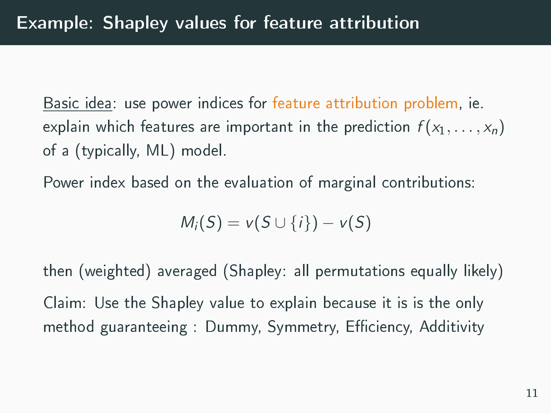Basic idea: use power indices for feature attribution problem, ie. explain which features are important in the prediction  $f(x_1, \ldots, x_n)$ of a (typically, ML) model.

Power index based on the evaluation of marginal contributions:

$$
M_i(S) = v(S \cup \{i\}) - v(S)
$$

then (weighted) averaged (Shapley: all permutations equally likely) Claim: Use the Shapley value to explain because it is is the only method guaranteeing : Dummy, Symmetry, Efficiency, Additivity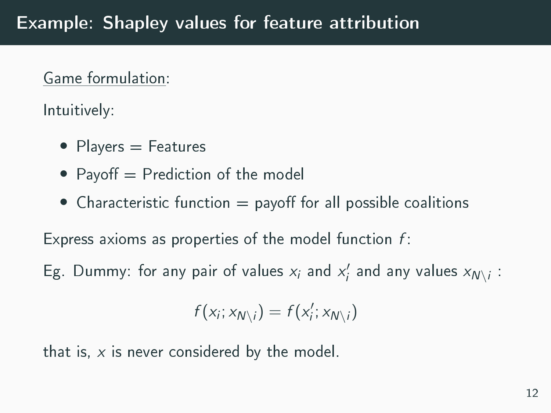#### Game formulation:

Intuitively:

- Players = Features
- Payoff  $=$  Prediction of the model
- Characteristic function  $=$  payoff for all possible coalitions

Express axioms as properties of the model function  $f$ :

Eg. Dummy: for any pair of values  $x_i$  and  $x'_i$  and any values  $x_{N\setminus i}$ :

$$
f(x_i; x_{N\setminus i}) = f(x'_i; x_{N\setminus i})
$$

that is,  $x$  is never considered by the model.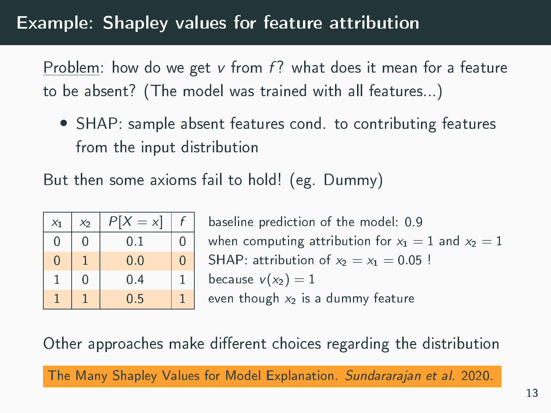# Example: Shapley values for feature attribution

Problem: how do we get  $v$  from  $f$ ? what does it mean for a feature to be absent? (The model was trained with all features...)

• SHAP: sample absent features cond. to contributing features from the input distribution

But then some axioms fail to hold! (eg. Dummy)

| $X_1$ | $X_2$ | Ρ<br>$= x$ |   |
|-------|-------|------------|---|
| 0     | 0     | 0.1        | 0 |
| 0     |       | 0.0        | 0 |
| 1     | N     | 0.4        | 1 |
|       |       | $0.5\,$    |   |

baseline prediction of the model: 0.9 when computing attribution for  $x_1 = 1$  and  $x_2 = 1$ SHAP: attribution of  $x_2 = x_1 = 0.05$  ! because  $v(x_2) = 1$ even though  $x_2$  is a dummy feature

Other approaches make different choices regarding the distribution

The Many Shapley Values for Model Explanation. Sundararajan et al. 2020.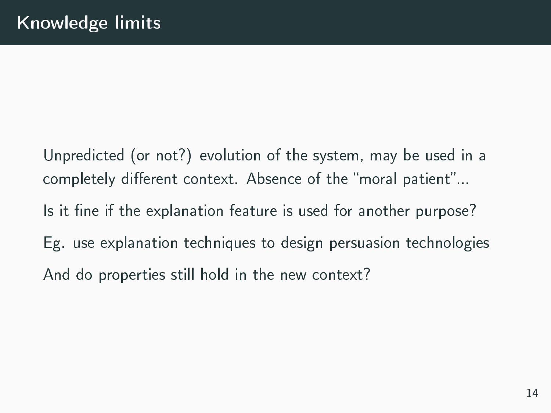Unpredicted (or not?) evolution of the system, may be used in a completely different context. Absence of the "moral patient"... Is it fine if the explanation feature is used for another purpose? Eg. use explanation techniques to design persuasion technologies And do properties still hold in the new context?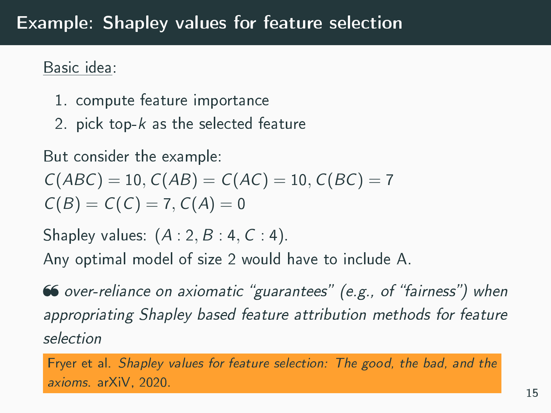## Example: Shapley values for feature selection

#### Basic idea:

- 1. compute feature importance
- 2. pick top- $k$  as the selected feature

But consider the example:

$$
C(ABC) = 10, C(AB) = C(AC) = 10, C(BC) = 7
$$
  

$$
C(B) = C(C) = 7, C(A) = 0
$$

Shapley values:  $(A:2, B:4, C:4)$ .

Any optimal model of size 2 would have to include A.

66 over-reliance on axiomatic "guarantees" (e.g., of "fairness") when appropriating Shapley based feature attribution methods for feature selection

Fryer et al. Shapley values for feature selection: The good, the bad, and the axioms. arXiV, 2020.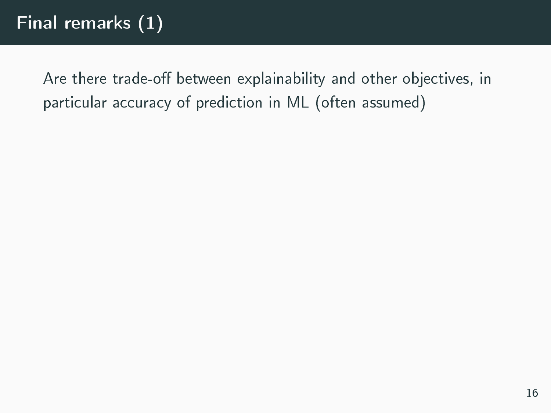Are there trade-off between explainability and other objectives, in particular accuracy of prediction in ML (often assumed)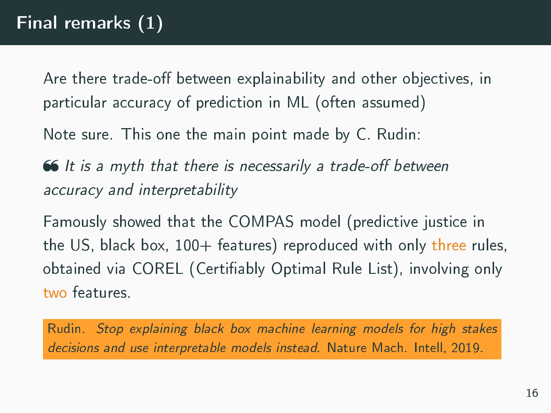Are there trade-off between explainability and other objectives, in particular accuracy of prediction in ML (often assumed)

Note sure. This one the main point made by C. Rudin:

 $\bullet$  It is a myth that there is necessarily a trade-off between accuracy and interpretability

Famously showed that the COMPAS model (predictive justice in the US, black box,  $100+$  features) reproduced with only three rules, obtained via COREL (Certifiably Optimal Rule List), involving only two features.

Rudin. Stop explaining black box machine learning models for high stakes decisions and use interpretable models instead. Nature Mach. Intell, 2019.